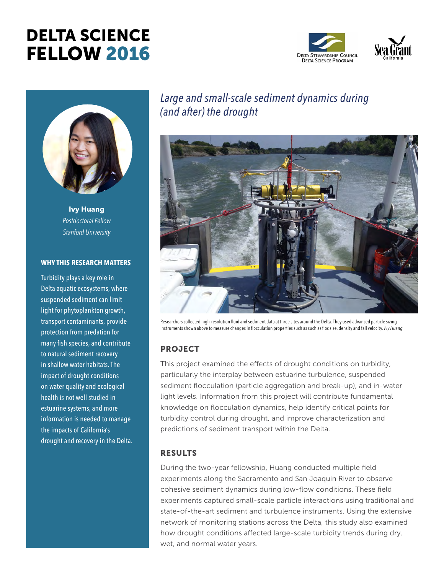# DELTA SCIENCE FELLOW 2016





**Ivy Huang** *Postdoctoral Fellow Stanford University*

#### **WHY THIS RESEARCH MATTERS**

Turbidity plays a key role in Delta aquatic ecosystems, where suspended sediment can limit light for phytoplankton growth, transport contaminants, provide protection from predation for many fish species, and contribute to natural sediment recovery in shallow water habitats. The impact of drought conditions on water quality and ecological health is not well studied in estuarine systems, and more information is needed to manage the impacts of California's drought and recovery in the Delta.

# *Large and small-scale sediment dynamics during (and after) the drought*



Researchers collected high-resolution fluid and sediment data at three sites around the Delta. They used advanced particle sizing instruments shown above to measure changes in flocculation properties such as such as floc size, density and fall velocity. *Ivy Huang*

# **PROJECT**

This project examined the effects of drought conditions on turbidity, particularly the interplay between estuarine turbulence, suspended sediment flocculation (particle aggregation and break-up), and in-water light levels. Information from this project will contribute fundamental knowledge on flocculation dynamics, help identify critical points for turbidity control during drought, and improve characterization and predictions of sediment transport within the Delta.

### RESULTS

During the two-year fellowship, Huang conducted multiple field experiments along the Sacramento and San Joaquin River to observe cohesive sediment dynamics during low-flow conditions. These field experiments captured small-scale particle interactions using traditional and state-of-the-art sediment and turbulence instruments. Using the extensive network of monitoring stations across the Delta, this study also examined how drought conditions affected large-scale turbidity trends during dry, wet, and normal water years.